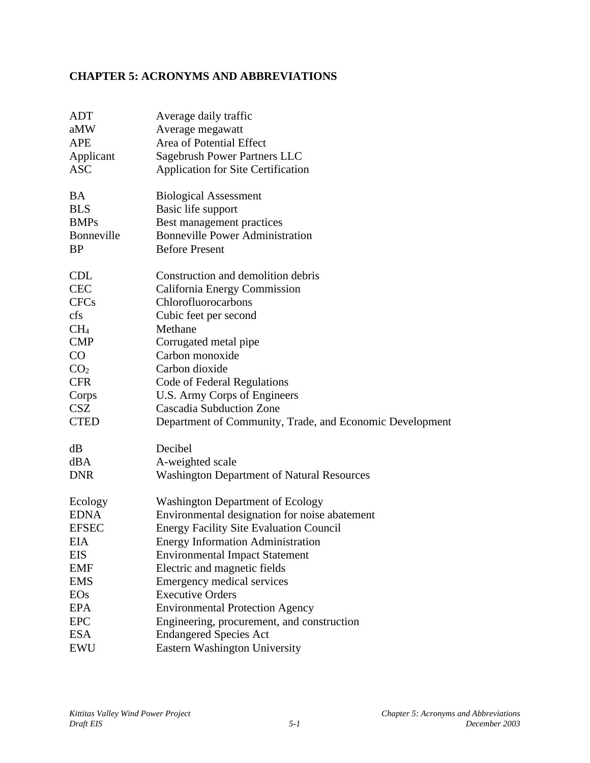## **CHAPTER 5: ACRONYMS AND ABBREVIATIONS**

| ADT             | Average daily traffic                                    |
|-----------------|----------------------------------------------------------|
| aMW             | Average megawatt                                         |
| <b>APE</b>      | Area of Potential Effect                                 |
| Applicant       | Sagebrush Power Partners LLC                             |
| <b>ASC</b>      | Application for Site Certification                       |
|                 |                                                          |
| <b>BA</b>       | <b>Biological Assessment</b>                             |
| <b>BLS</b>      | Basic life support                                       |
| <b>BMPs</b>     | Best management practices                                |
| Bonneville      | <b>Bonneville Power Administration</b>                   |
| <b>BP</b>       | <b>Before Present</b>                                    |
| <b>CDL</b>      | Construction and demolition debris                       |
| <b>CEC</b>      | California Energy Commission                             |
| <b>CFCs</b>     | Chlorofluorocarbons                                      |
| <b>cfs</b>      | Cubic feet per second                                    |
| CH <sub>4</sub> | Methane                                                  |
| <b>CMP</b>      | Corrugated metal pipe                                    |
| $\rm CO$        | Carbon monoxide                                          |
| CO <sub>2</sub> | Carbon dioxide                                           |
| <b>CFR</b>      | Code of Federal Regulations                              |
| Corps           | U.S. Army Corps of Engineers                             |
| <b>CSZ</b>      | <b>Cascadia Subduction Zone</b>                          |
| <b>CTED</b>     | Department of Community, Trade, and Economic Development |
|                 |                                                          |
| dB              | Decibel                                                  |
| dBA             | A-weighted scale                                         |
| <b>DNR</b>      | <b>Washington Department of Natural Resources</b>        |
| Ecology         | <b>Washington Department of Ecology</b>                  |
| <b>EDNA</b>     | Environmental designation for noise abatement            |
| <b>EFSEC</b>    | <b>Energy Facility Site Evaluation Council</b>           |
| EIA             | <b>Energy Information Administration</b>                 |
| EIS             | <b>Environmental Impact Statement</b>                    |
| <b>EMF</b>      | Electric and magnetic fields                             |
| <b>EMS</b>      | Emergency medical services                               |
| <b>EOs</b>      | <b>Executive Orders</b>                                  |
| <b>EPA</b>      | <b>Environmental Protection Agency</b>                   |
| <b>EPC</b>      | Engineering, procurement, and construction               |
| <b>ESA</b>      | <b>Endangered Species Act</b>                            |
| <b>EWU</b>      | Eastern Washington University                            |
|                 |                                                          |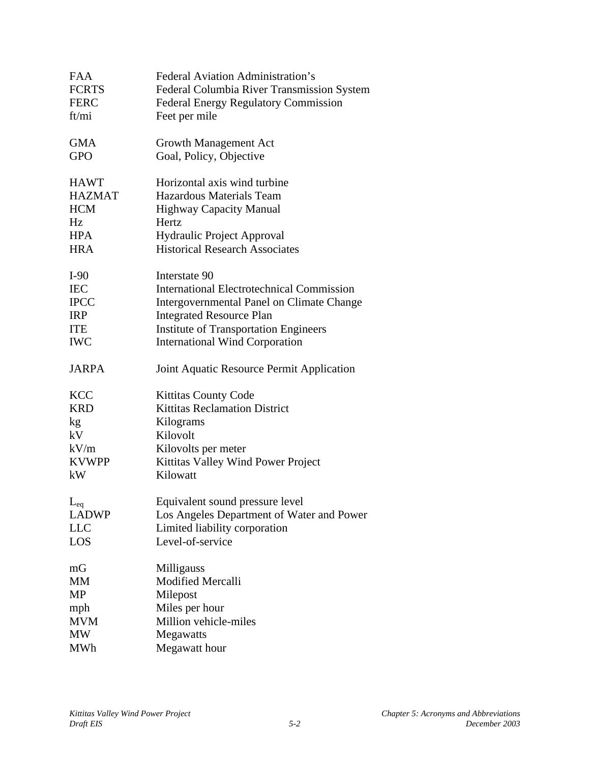| <b>FAA</b>      | Federal Aviation Administration's                |
|-----------------|--------------------------------------------------|
| <b>FCRTS</b>    | Federal Columbia River Transmission System       |
| <b>FERC</b>     | Federal Energy Regulatory Commission             |
| ft/mi           | Feet per mile                                    |
| <b>GMA</b>      | Growth Management Act                            |
| <b>GPO</b>      | Goal, Policy, Objective                          |
| <b>HAWT</b>     | Horizontal axis wind turbine                     |
| <b>HAZMAT</b>   | <b>Hazardous Materials Team</b>                  |
| <b>HCM</b>      | <b>Highway Capacity Manual</b>                   |
| Hz              | Hertz                                            |
| <b>HPA</b>      | Hydraulic Project Approval                       |
| <b>HRA</b>      | <b>Historical Research Associates</b>            |
| $I-90$          | Interstate 90                                    |
| <b>IEC</b>      | <b>International Electrotechnical Commission</b> |
| <b>IPCC</b>     | Intergovernmental Panel on Climate Change        |
| <b>IRP</b>      | <b>Integrated Resource Plan</b>                  |
| <b>ITE</b>      | <b>Institute of Transportation Engineers</b>     |
| <b>IWC</b>      | <b>International Wind Corporation</b>            |
| <b>JARPA</b>    | Joint Aquatic Resource Permit Application        |
| <b>KCC</b>      | <b>Kittitas County Code</b>                      |
| <b>KRD</b>      | <b>Kittitas Reclamation District</b>             |
| kg              | Kilograms                                        |
| kV              | Kilovolt                                         |
| kV/m            | Kilovolts per meter                              |
| <b>KVWPP</b>    | Kittitas Valley Wind Power Project               |
| kW              | Kilowatt                                         |
| $L_{\text{eq}}$ | Equivalent sound pressure level                  |
| <b>LADWP</b>    | Los Angeles Department of Water and Power        |
| <b>LLC</b>      | Limited liability corporation                    |
| LOS             | Level-of-service                                 |
| mG              | Milligauss                                       |
| MM              | <b>Modified Mercalli</b>                         |
| <b>MP</b>       | Milepost                                         |
| mph             | Miles per hour                                   |
| <b>MVM</b>      | Million vehicle-miles                            |
| MW              | Megawatts                                        |
| <b>MWh</b>      | Megawatt hour                                    |
|                 |                                                  |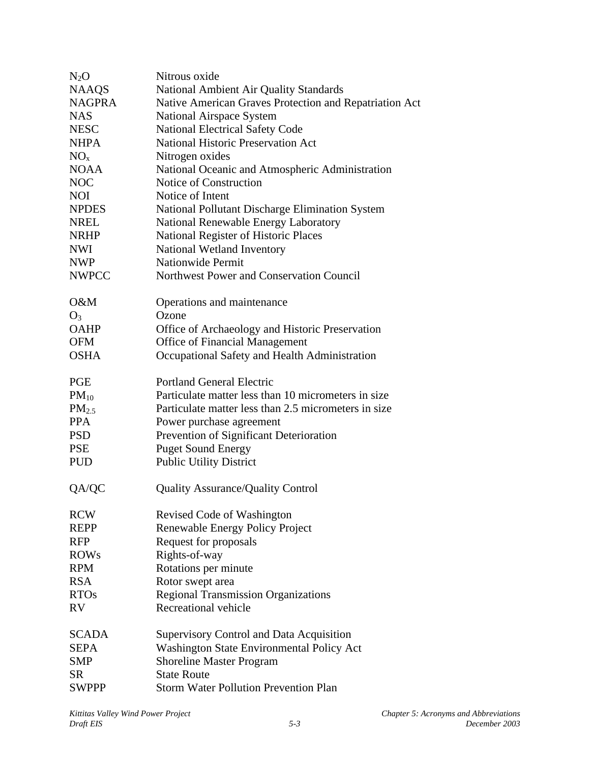| $N_2O$        | Nitrous oxide                                          |
|---------------|--------------------------------------------------------|
| <b>NAAQS</b>  | National Ambient Air Quality Standards                 |
| <b>NAGPRA</b> | Native American Graves Protection and Repatriation Act |
| <b>NAS</b>    | <b>National Airspace System</b>                        |
| <b>NESC</b>   | National Electrical Safety Code                        |
| <b>NHPA</b>   | <b>National Historic Preservation Act</b>              |
| $NO_{x}$      | Nitrogen oxides                                        |
| <b>NOAA</b>   | National Oceanic and Atmospheric Administration        |
| <b>NOC</b>    | Notice of Construction                                 |
| <b>NOI</b>    | Notice of Intent                                       |
| <b>NPDES</b>  | National Pollutant Discharge Elimination System        |
| <b>NREL</b>   | National Renewable Energy Laboratory                   |
| <b>NRHP</b>   | National Register of Historic Places                   |
| <b>NWI</b>    | National Wetland Inventory                             |
| <b>NWP</b>    | Nationwide Permit                                      |
| <b>NWPCC</b>  | Northwest Power and Conservation Council               |
| O&M           | Operations and maintenance                             |
| $O_3$         | Ozone                                                  |
| <b>OAHP</b>   | Office of Archaeology and Historic Preservation        |
| <b>OFM</b>    | <b>Office of Financial Management</b>                  |
| <b>OSHA</b>   | Occupational Safety and Health Administration          |
| <b>PGE</b>    | <b>Portland General Electric</b>                       |
| $PM_{10}$     | Particulate matter less than 10 micrometers in size    |
| $PM_{2.5}$    | Particulate matter less than 2.5 micrometers in size   |
| <b>PPA</b>    | Power purchase agreement                               |
| <b>PSD</b>    | Prevention of Significant Deterioration                |
| <b>PSE</b>    | <b>Puget Sound Energy</b>                              |
| <b>PUD</b>    | <b>Public Utility District</b>                         |
| QA/QC         | <b>Quality Assurance/Quality Control</b>               |
| <b>RCW</b>    | Revised Code of Washington                             |
| <b>REPP</b>   | Renewable Energy Policy Project                        |
| <b>RFP</b>    | Request for proposals                                  |
| <b>ROWs</b>   | Rights-of-way                                          |
| <b>RPM</b>    | Rotations per minute                                   |
| <b>RSA</b>    | Rotor swept area                                       |
| <b>RTOs</b>   | <b>Regional Transmission Organizations</b>             |
| RV            | Recreational vehicle                                   |
| <b>SCADA</b>  | <b>Supervisory Control and Data Acquisition</b>        |
| <b>SEPA</b>   | <b>Washington State Environmental Policy Act</b>       |
| <b>SMP</b>    | <b>Shoreline Master Program</b>                        |
| <b>SR</b>     | <b>State Route</b>                                     |
| <b>SWPPP</b>  | <b>Storm Water Pollution Prevention Plan</b>           |